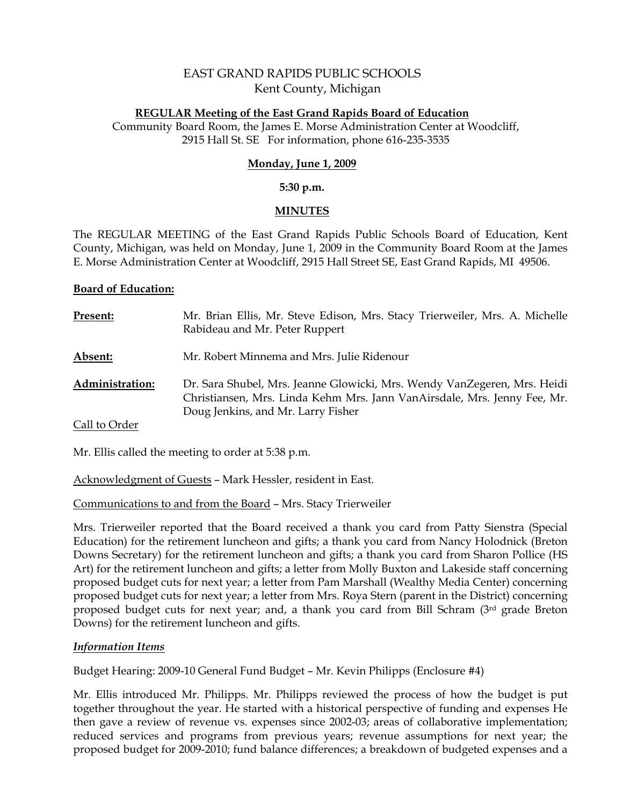# EAST GRAND RAPIDS PUBLIC SCHOOLS Kent County, Michigan

#### **REGULAR Meeting of the East Grand Rapids Board of Education**

Community Board Room, the James E. Morse Administration Center at Woodcliff, 2915 Hall St. SE For information, phone 616-235-3535

# **Monday, June 1, 2009**

#### **5:30 p.m.**

#### **MINUTES**

The REGULAR MEETING of the East Grand Rapids Public Schools Board of Education, Kent County, Michigan, was held on Monday, June 1, 2009 in the Community Board Room at the James E. Morse Administration Center at Woodcliff, 2915 Hall Street SE, East Grand Rapids, MI 49506.

#### **Board of Education:**

| Present:               | Mr. Brian Ellis, Mr. Steve Edison, Mrs. Stacy Trierweiler, Mrs. A. Michelle<br>Rabideau and Mr. Peter Ruppert                                                                              |
|------------------------|--------------------------------------------------------------------------------------------------------------------------------------------------------------------------------------------|
| Absent:                | Mr. Robert Minnema and Mrs. Julie Ridenour                                                                                                                                                 |
| <b>Administration:</b> | Dr. Sara Shubel, Mrs. Jeanne Glowicki, Mrs. Wendy VanZegeren, Mrs. Heidi<br>Christiansen, Mrs. Linda Kehm Mrs. Jann VanAirsdale, Mrs. Jenny Fee, Mr.<br>Doug Jenkins, and Mr. Larry Fisher |
| Call to Order          |                                                                                                                                                                                            |

Mr. Ellis called the meeting to order at 5:38 p.m.

Acknowledgment of Guests – Mark Hessler, resident in East.

Communications to and from the Board – Mrs. Stacy Trierweiler

Mrs. Trierweiler reported that the Board received a thank you card from Patty Sienstra (Special Education) for the retirement luncheon and gifts; a thank you card from Nancy Holodnick (Breton Downs Secretary) for the retirement luncheon and gifts; a thank you card from Sharon Pollice (HS Art) for the retirement luncheon and gifts; a letter from Molly Buxton and Lakeside staff concerning proposed budget cuts for next year; a letter from Pam Marshall (Wealthy Media Center) concerning proposed budget cuts for next year; a letter from Mrs. Roya Stern (parent in the District) concerning proposed budget cuts for next year; and, a thank you card from Bill Schram (3rd grade Breton Downs) for the retirement luncheon and gifts.

# *Information Items*

Budget Hearing: 2009-10 General Fund Budget – Mr. Kevin Philipps (Enclosure #4)

Mr. Ellis introduced Mr. Philipps. Mr. Philipps reviewed the process of how the budget is put together throughout the year. He started with a historical perspective of funding and expenses He then gave a review of revenue vs. expenses since 2002-03; areas of collaborative implementation; reduced services and programs from previous years; revenue assumptions for next year; the proposed budget for 2009-2010; fund balance differences; a breakdown of budgeted expenses and a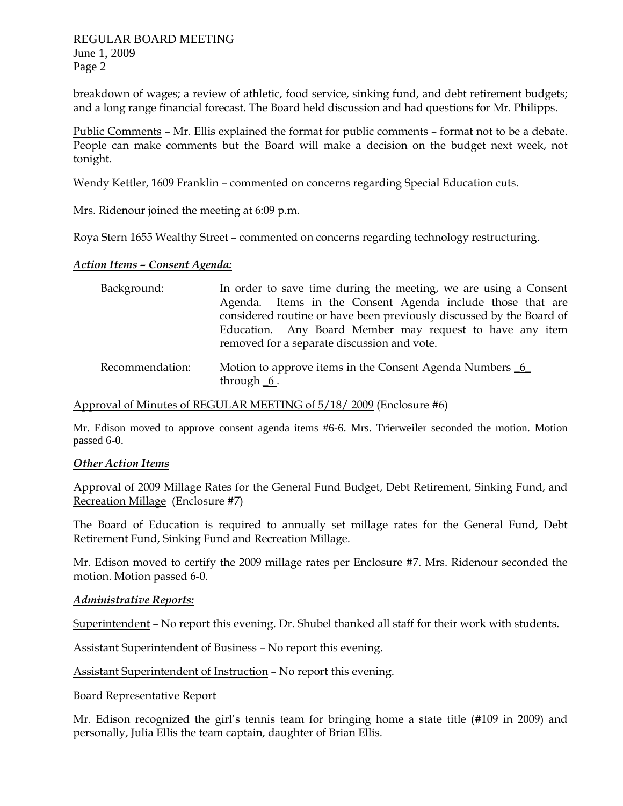breakdown of wages; a review of athletic, food service, sinking fund, and debt retirement budgets; and a long range financial forecast. The Board held discussion and had questions for Mr. Philipps.

Public Comments – Mr. Ellis explained the format for public comments – format not to be a debate. People can make comments but the Board will make a decision on the budget next week, not tonight.

Wendy Kettler, 1609 Franklin – commented on concerns regarding Special Education cuts.

Mrs. Ridenour joined the meeting at 6:09 p.m.

Roya Stern 1655 Wealthy Street – commented on concerns regarding technology restructuring.

#### *Action Items – Consent Agenda:*

| Background:     | In order to save time during the meeting, we are using a Consent<br>Agenda. Items in the Consent Agenda include those that are<br>considered routine or have been previously discussed by the Board of<br>Education. Any Board Member may request to have any item<br>removed for a separate discussion and vote. |
|-----------------|-------------------------------------------------------------------------------------------------------------------------------------------------------------------------------------------------------------------------------------------------------------------------------------------------------------------|
| Recommendation: | Motion to approve items in the Consent Agenda Numbers 6<br>through $6$ .                                                                                                                                                                                                                                          |

Approval of Minutes of REGULAR MEETING of 5/18/ 2009 (Enclosure #6)

Mr. Edison moved to approve consent agenda items #6-6. Mrs. Trierweiler seconded the motion. Motion passed 6-0.

# *Other Action Items*

Approval of 2009 Millage Rates for the General Fund Budget, Debt Retirement, Sinking Fund, and Recreation Millage (Enclosure #7)

The Board of Education is required to annually set millage rates for the General Fund, Debt Retirement Fund, Sinking Fund and Recreation Millage.

Mr. Edison moved to certify the 2009 millage rates per Enclosure #7. Mrs. Ridenour seconded the motion. Motion passed 6-0.

# *Administrative Reports:*

Superintendent – No report this evening. Dr. Shubel thanked all staff for their work with students.

Assistant Superintendent of Business – No report this evening.

Assistant Superintendent of Instruction – No report this evening.

Board Representative Report

Mr. Edison recognized the girl's tennis team for bringing home a state title (#109 in 2009) and personally, Julia Ellis the team captain, daughter of Brian Ellis.